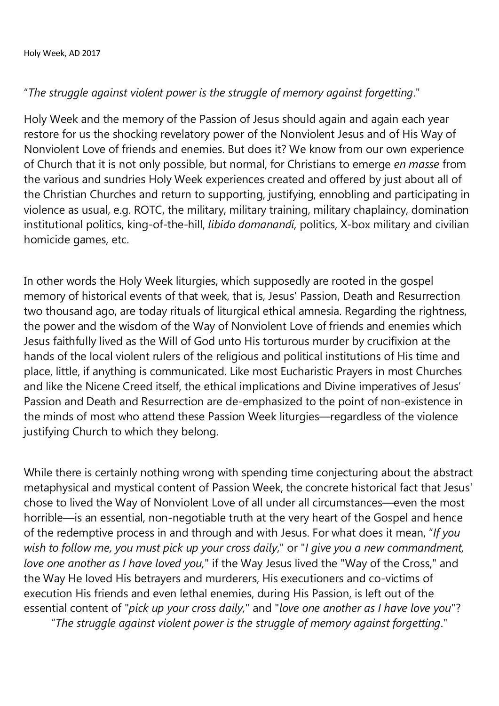## "*The struggle against violent power is the struggle of memory against forgetting*."

Holy Week and the memory of the Passion of Jesus should again and again each year restore for us the shocking revelatory power of the Nonviolent Jesus and of His Way of Nonviolent Love of friends and enemies. But does it? We know from our own experience of Church that it is not only possible, but normal, for Christians to emerge *en masse* from the various and sundries Holy Week experiences created and offered by just about all of the Christian Churches and return to supporting, justifying, ennobling and participating in violence as usual, e.g. ROTC, the military, military training, military chaplaincy, domination institutional politics, king-of-the-hill, *libido domanandi,* politics, X-box military and civilian homicide games, etc.

In other words the Holy Week liturgies, which supposedly are rooted in the gospel memory of historical events of that week, that is, Jesus' Passion, Death and Resurrection two thousand ago, are today rituals of liturgical ethical amnesia. Regarding the rightness, the power and the wisdom of the Way of Nonviolent Love of friends and enemies which Jesus faithfully lived as the Will of God unto His torturous murder by crucifixion at the hands of the local violent rulers of the religious and political institutions of His time and place, little, if anything is communicated. Like most Eucharistic Prayers in most Churches and like the Nicene Creed itself, the ethical implications and Divine imperatives of Jesus' Passion and Death and Resurrection are de-emphasized to the point of non-existence in the minds of most who attend these Passion Week liturgies—regardless of the violence justifying Church to which they belong.

While there is certainly nothing wrong with spending time conjecturing about the abstract metaphysical and mystical content of Passion Week, the concrete historical fact that Jesus' chose to lived the Way of Nonviolent Love of all under all circumstances—even the most horrible—is an essential, non-negotiable truth at the very heart of the Gospel and hence of the redemptive process in and through and with Jesus. For what does it mean, "*If you wish to follow me, you must pick up your cross daily*," or "*I give you a new commandment, love one another as I have loved you,*" if the Way Jesus lived the "Way of the Cross," and the Way He loved His betrayers and murderers, His executioners and co-victims of execution His friends and even lethal enemies, during His Passion, is left out of the essential content of "*pick up your cross daily,*" and "*love one another as I have love you*"?

"*The struggle against violent power is the struggle of memory against forgetting*."